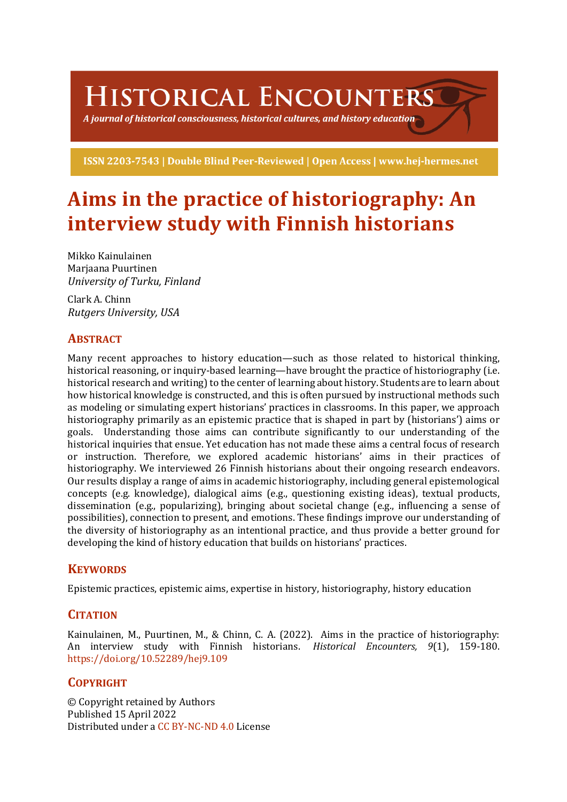HISTORICAL ENCOUNTERS

A journal of historical consciousness, historical cultures, and history education  $\geq$ 

ISSN 2203-7543 | Double Blind Peer-Reviewed | Open Access | www.hej-hermes.net

# Aims in the practice of historiography: An **interview study with Finnish historians**

Mikko Kainulainen Marjaana Puurtinen *University of Turku, Finland*

Clark A. Chinn *Rutgers University, USA*

# **ABSTRACT**

Many recent approaches to history education—such as those related to historical thinking, historical reasoning, or inquiry-based learning—have brought the practice of historiography (i.e. historical research and writing) to the center of learning about history. Students are to learn about how historical knowledge is constructed, and this is often pursued by instructional methods such as modeling or simulating expert historians' practices in classrooms. In this paper, we approach historiography primarily as an epistemic practice that is shaped in part by (historians') aims or goals. Understanding those aims can contribute significantly to our understanding of the historical inquiries that ensue. Yet education has not made these aims a central focus of research or instruction. Therefore, we explored academic historians' aims in their practices of historiography. We interviewed 26 Finnish historians about their ongoing research endeavors. Our results display a range of aims in academic historiography, including general epistemological concepts (e.g. knowledge), dialogical aims (e.g., questioning existing ideas), textual products, dissemination  $(e.g.,$  popularizing), bringing about societal change  $(e.g.,)$  influencing a sense of possibilities), connection to present, and emotions. These findings improve our understanding of the diversity of historiography as an intentional practice, and thus provide a better ground for developing the kind of history education that builds on historians' practices.

# **KEYWORDS**

Epistemic practices, epistemic aims, expertise in history, historiography, history education

# **CITATION**

Kainulainen, M., Puurtinen, M., & Chinn, C. A. (2022). Aims in the practice of historiography: An interview study with Finnish historians. *Historical Encounters, 9*(1), 159-180. https://doi.org/10.52289/hej9.109

# **COPYRIGHT**

© Copyright retained by Authors Published 15 April 2022 Distributed under a CC BY-NC-ND 4.0 License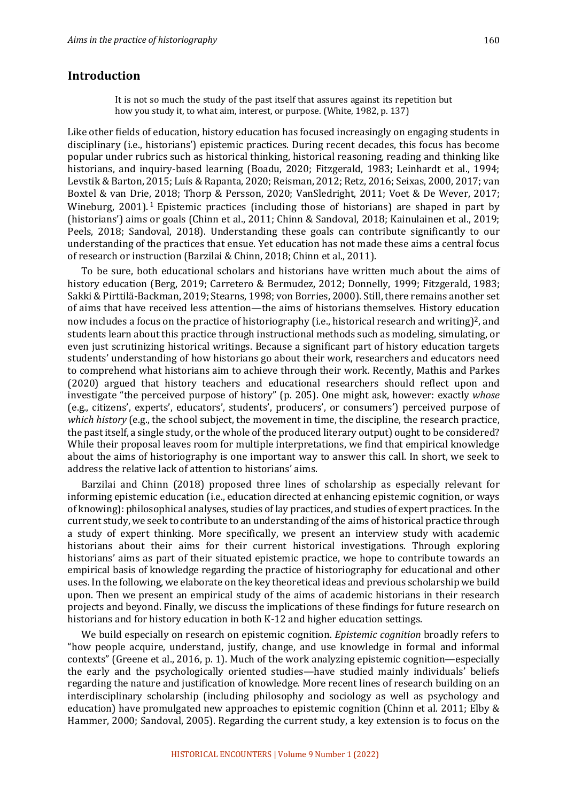## **Introduction**

It is not so much the study of the past itself that assures against its repetition but how you study it, to what aim, interest, or purpose. (White, 1982, p. 137)

Like other fields of education, history education has focused increasingly on engaging students in disciplinary (i.e., historians') epistemic practices. During recent decades, this focus has become popular under rubrics such as historical thinking, historical reasoning, reading and thinking like historians, and inquiry-based learning (Boadu, 2020; Fitzgerald, 1983; Leinhardt et al., 1994; Levstik & Barton, 2015; Luís & Rapanta, 2020; Reisman, 2012; Retz, 2016; Seixas, 2000, 2017; van Boxtel & van Drie, 2018; Thorp & Persson, 2020; VanSledright, 2011; Voet & De Wever, 2017; Wineburg,  $2001$ . <sup>1</sup> Epistemic practices (including those of historians) are shaped in part by (historians') aims or goals (Chinn et al., 2011; Chinn & Sandoval, 2018; Kainulainen et al., 2019; Peels, 2018; Sandoval, 2018). Understanding these goals can contribute significantly to our understanding of the practices that ensue. Yet education has not made these aims a central focus of research or instruction (Barzilai & Chinn, 2018; Chinn et al., 2011).

To be sure, both educational scholars and historians have written much about the aims of history education (Berg, 2019; Carretero & Bermudez, 2012; Donnelly, 1999; Fitzgerald, 1983; Sakki & Pirttilä-Backman, 2019; Stearns, 1998; von Borries, 2000). Still, there remains another set of aims that have received less attention—the aims of historians themselves. History education now includes a focus on the practice of historiography (i.e., historical research and writing)<sup>2</sup>, and students learn about this practice through instructional methods such as modeling, simulating, or even just scrutinizing historical writings. Because a significant part of history education targets students' understanding of how historians go about their work, researchers and educators need to comprehend what historians aim to achieve through their work. Recently, Mathis and Parkes (2020) argued that history teachers and educational researchers should reflect upon and investigate "the perceived purpose of history" (p. 205). One might ask, however: exactly whose (e.g., citizens', experts', educators', students', producers', or consumers') perceived purpose of *which history* (e.g., the school subject, the movement in time, the discipline, the research practice, the past itself, a single study, or the whole of the produced literary output) ought to be considered? While their proposal leaves room for multiple interpretations, we find that empirical knowledge about the aims of historiography is one important way to answer this call. In short, we seek to address the relative lack of attention to historians' aims.

Barzilai and Chinn (2018) proposed three lines of scholarship as especially relevant for informing epistemic education (i.e., education directed at enhancing epistemic cognition, or ways of knowing): philosophical analyses, studies of lay practices, and studies of expert practices. In the current study, we seek to contribute to an understanding of the aims of historical practice through a study of expert thinking. More specifically, we present an interview study with academic historians about their aims for their current historical investigations. Through exploring historians' aims as part of their situated epistemic practice, we hope to contribute towards an empirical basis of knowledge regarding the practice of historiography for educational and other uses. In the following, we elaborate on the key theoretical ideas and previous scholarship we build upon. Then we present an empirical study of the aims of academic historians in their research projects and beyond. Finally, we discuss the implications of these findings for future research on historians and for history education in both K-12 and higher education settings.

We build especially on research on epistemic cognition. *Epistemic cognition* broadly refers to "how people acquire, understand, justify, change, and use knowledge in formal and informal contexts" (Greene et al., 2016, p. 1). Much of the work analyzing epistemic cognition—especially the early and the psychologically oriented studies—have studied mainly individuals' beliefs regarding the nature and justification of knowledge. More recent lines of research building on an interdisciplinary scholarship (including philosophy and sociology as well as psychology and education) have promulgated new approaches to epistemic cognition (Chinn et al. 2011; Elby & Hammer, 2000; Sandoval, 2005). Regarding the current study, a key extension is to focus on the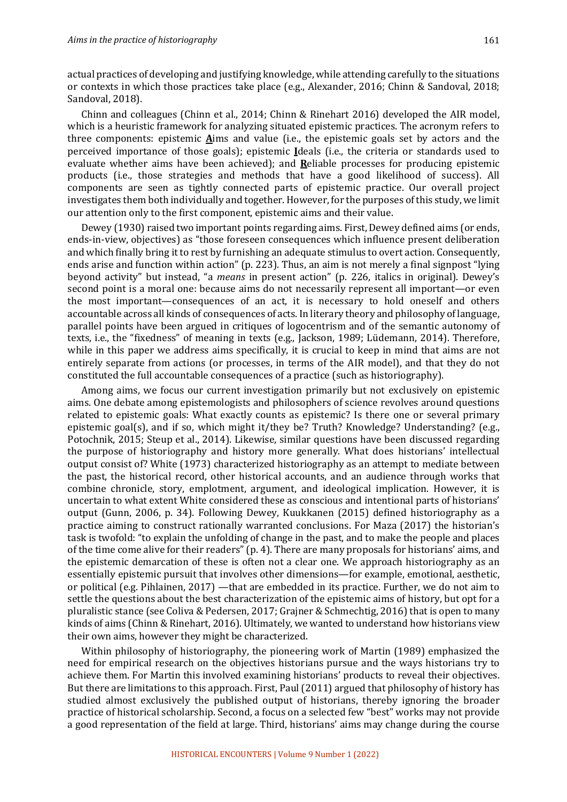actual practices of developing and justifying knowledge, while attending carefully to the situations or contexts in which those practices take place (e.g., Alexander, 2016; Chinn & Sandoval, 2018; Sandoval, 2018).

Chinn and colleagues (Chinn et al., 2014; Chinn & Rinehart 2016) developed the AIR model, which is a heuristic framework for analyzing situated epistemic practices. The acronym refers to three components: epistemic  $\vec{A}$ ims and value (i.e., the epistemic goals set by actors and the perceived importance of those goals); epistemic **I**deals (i.e., the criteria or standards used to evaluate whether aims have been achieved); and **Reliable processes** for producing epistemic products (i.e., those strategies and methods that have a good likelihood of success). All components are seen as tightly connected parts of epistemic practice. Our overall project investigates them both individually and together. However, for the purposes of this study, we limit our attention only to the first component, epistemic aims and their value.

Dewey (1930) raised two important points regarding aims. First, Dewey defined aims (or ends, ends-in-view, objectives) as "those foreseen consequences which influence present deliberation and which finally bring it to rest by furnishing an adequate stimulus to overt action. Consequently, ends arise and function within action" (p. 223). Thus, an aim is not merely a final signpost "lying beyond activity" but instead, "a *means* in present action" (p. 226, italics in original). Dewey's second point is a moral one: because aims do not necessarily represent all important—or even the most important—consequences of an act, it is necessary to hold oneself and others accountable across all kinds of consequences of acts. In literary theory and philosophy of language, parallel points have been argued in critiques of logocentrism and of the semantic autonomy of texts, i.e., the "fixedness" of meaning in texts (e.g., Jackson, 1989; Lüdemann, 2014). Therefore, while in this paper we address aims specifically, it is crucial to keep in mind that aims are not entirely separate from actions (or processes, in terms of the AIR model), and that they do not constituted the full accountable consequences of a practice (such as historiography).

Among aims, we focus our current investigation primarily but not exclusively on epistemic aims. One debate among epistemologists and philosophers of science revolves around questions related to epistemic goals: What exactly counts as epistemic? Is there one or several primary epistemic goal(s), and if so, which might it/they be? Truth? Knowledge? Understanding? (e.g., Potochnik, 2015; Steup et al., 2014). Likewise, similar questions have been discussed regarding the purpose of historiography and history more generally. What does historians' intellectual output consist of? White (1973) characterized historiography as an attempt to mediate between the past, the historical record, other historical accounts, and an audience through works that combine chronicle, story, emplotment, argument, and ideological implication. However, it is uncertain to what extent White considered these as conscious and intentional parts of historians' output (Gunn, 2006, p. 34). Following Dewey, Kuukkanen (2015) defined historiography as a practice aiming to construct rationally warranted conclusions. For Maza (2017) the historian's task is twofold: "to explain the unfolding of change in the past, and to make the people and places of the time come alive for their readers"  $(p, 4)$ . There are many proposals for historians' aims, and the epistemic demarcation of these is often not a clear one. We approach historiography as an essentially epistemic pursuit that involves other dimensions—for example, emotional, aesthetic, or political (e.g. Pihlainen,  $2017$ ) —that are embedded in its practice. Further, we do not aim to settle the questions about the best characterization of the epistemic aims of history, but opt for a pluralistic stance (see Coliva & Pedersen, 2017; Grajner & Schmechtig, 2016) that is open to many kinds of aims (Chinn & Rinehart, 2016). Ultimately, we wanted to understand how historians view their own aims, however they might be characterized.

Within philosophy of historiography, the pioneering work of Martin (1989) emphasized the need for empirical research on the objectives historians pursue and the ways historians try to achieve them. For Martin this involved examining historians' products to reveal their objectives. But there are limitations to this approach. First, Paul (2011) argued that philosophy of history has studied almost exclusively the published output of historians, thereby ignoring the broader practice of historical scholarship. Second, a focus on a selected few "best" works may not provide a good representation of the field at large. Third, historians' aims may change during the course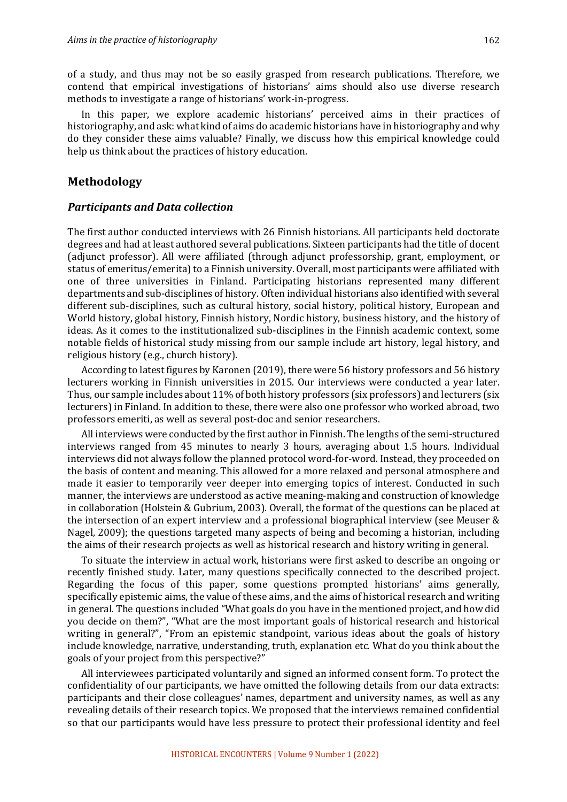of a study, and thus may not be so easily grasped from research publications. Therefore, we contend that empirical investigations of historians' aims should also use diverse research methods to investigate a range of historians' work-in-progress.

In this paper, we explore academic historians' perceived aims in their practices of historiography, and ask: what kind of aims do academic historians have in historiography and why do they consider these aims valuable? Finally, we discuss how this empirical knowledge could help us think about the practices of history education.

### **Methodology**

### **Participants and Data collection**

The first author conducted interviews with 26 Finnish historians. All participants held doctorate degrees and had at least authored several publications. Sixteen participants had the title of docent (adjunct professor). All were affiliated (through adjunct professorship, grant, employment, or status of emeritus/emerita) to a Finnish university. Overall, most participants were affiliated with one of three universities in Finland. Participating historians represented many different departments and sub-disciplines of history. Often individual historians also identified with several different sub-disciplines, such as cultural history, social history, political history, European and World history, global history, Finnish history, Nordic history, business history, and the history of ideas. As it comes to the institutionalized sub-disciplines in the Finnish academic context, some notable fields of historical study missing from our sample include art history, legal history, and religious history (e.g., church history).

According to latest figures by Karonen (2019), there were 56 history professors and 56 history lecturers working in Finnish universities in 2015. Our interviews were conducted a year later. Thus, our sample includes about  $11\%$  of both history professors (six professors) and lecturers (six lecturers) in Finland. In addition to these, there were also one professor who worked abroad, two professors emeriti, as well as several post-doc and senior researchers.

All interviews were conducted by the first author in Finnish. The lengths of the semi-structured interviews ranged from 45 minutes to nearly 3 hours, averaging about 1.5 hours. Individual interviews did not always follow the planned protocol word-for-word. Instead, they proceeded on the basis of content and meaning. This allowed for a more relaxed and personal atmosphere and made it easier to temporarily veer deeper into emerging topics of interest. Conducted in such manner, the interviews are understood as active meaning-making and construction of knowledge in collaboration (Holstein & Gubrium, 2003). Overall, the format of the questions can be placed at the intersection of an expert interview and a professional biographical interview (see Meuser  $\&$ Nagel, 2009); the questions targeted many aspects of being and becoming a historian, including the aims of their research projects as well as historical research and history writing in general.

To situate the interview in actual work, historians were first asked to describe an ongoing or recently finished study. Later, many questions specifically connected to the described project. Regarding the focus of this paper, some questions prompted historians' aims generally, specifically epistemic aims, the value of these aims, and the aims of historical research and writing in general. The questions included "What goals do you have in the mentioned project, and how did you decide on them?", "What are the most important goals of historical research and historical writing in general?", "From an epistemic standpoint, various ideas about the goals of history include knowledge, narrative, understanding, truth, explanation etc. What do you think about the goals of your project from this perspective?"

All interviewees participated voluntarily and signed an informed consent form. To protect the confidentiality of our participants, we have omitted the following details from our data extracts: participants and their close colleagues' names, department and university names, as well as any revealing details of their research topics. We proposed that the interviews remained confidential so that our participants would have less pressure to protect their professional identity and feel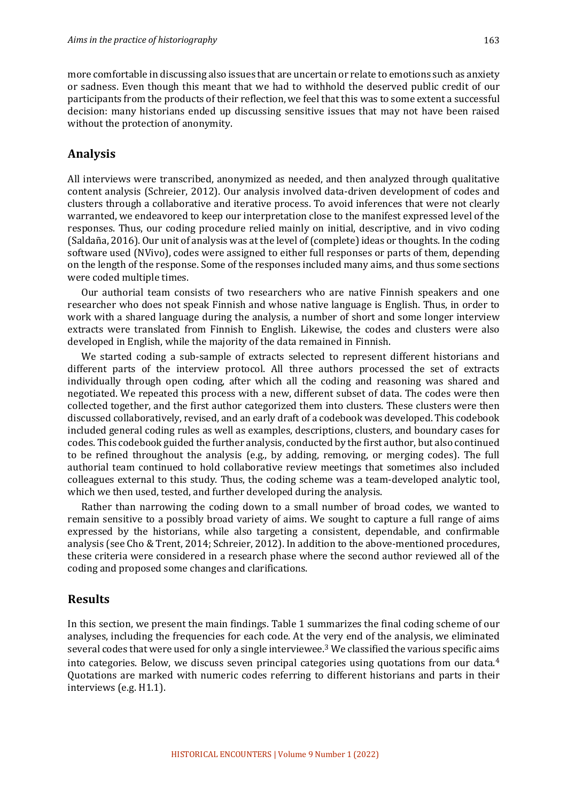more comfortable in discussing also issues that are uncertain or relate to emotions such as anxiety or sadness. Even though this meant that we had to withhold the deserved public credit of our participants from the products of their reflection, we feel that this was to some extent a successful decision: many historians ended up discussing sensitive issues that may not have been raised without the protection of anonymity.

#### **Analysis**

All interviews were transcribed, anonymized as needed, and then analyzed through qualitative content analysis (Schreier, 2012). Our analysis involved data-driven development of codes and clusters through a collaborative and iterative process. To avoid inferences that were not clearly warranted, we endeavored to keep our interpretation close to the manifest expressed level of the responses. Thus, our coding procedure relied mainly on initial, descriptive, and in vivo coding (Saldaña, 2016). Our unit of analysis was at the level of (complete) ideas or thoughts. In the coding software used (NVivo), codes were assigned to either full responses or parts of them, depending on the length of the response. Some of the responses included many aims, and thus some sections were coded multiple times.

Our authorial team consists of two researchers who are native Finnish speakers and one researcher who does not speak Finnish and whose native language is English. Thus, in order to work with a shared language during the analysis, a number of short and some longer interview extracts were translated from Finnish to English. Likewise, the codes and clusters were also developed in English, while the majority of the data remained in Finnish.

We started coding a sub-sample of extracts selected to represent different historians and different parts of the interview protocol. All three authors processed the set of extracts individually through open coding, after which all the coding and reasoning was shared and negotiated. We repeated this process with a new, different subset of data. The codes were then collected together, and the first author categorized them into clusters. These clusters were then discussed collaboratively, revised, and an early draft of a codebook was developed. This codebook included general coding rules as well as examples, descriptions, clusters, and boundary cases for codes. This codebook guided the further analysis, conducted by the first author, but also continued to be refined throughout the analysis (e.g., by adding, removing, or merging codes). The full authorial team continued to hold collaborative review meetings that sometimes also included colleagues external to this study. Thus, the coding scheme was a team-developed analytic tool, which we then used, tested, and further developed during the analysis.

Rather than narrowing the coding down to a small number of broad codes, we wanted to remain sensitive to a possibly broad variety of aims. We sought to capture a full range of aims expressed by the historians, while also targeting a consistent, dependable, and confirmable analysis (see Cho & Trent, 2014; Schreier, 2012). In addition to the above-mentioned procedures, these criteria were considered in a research phase where the second author reviewed all of the coding and proposed some changes and clarifications.

## **Results**

In this section, we present the main findings. Table 1 summarizes the final coding scheme of our analyses, including the frequencies for each code. At the very end of the analysis, we eliminated several codes that were used for only a single interviewee.<sup>3</sup> We classified the various specific aims into categories. Below, we discuss seven principal categories using quotations from our data.<sup>4</sup> Quotations are marked with numeric codes referring to different historians and parts in their interviews (e.g. H1.1).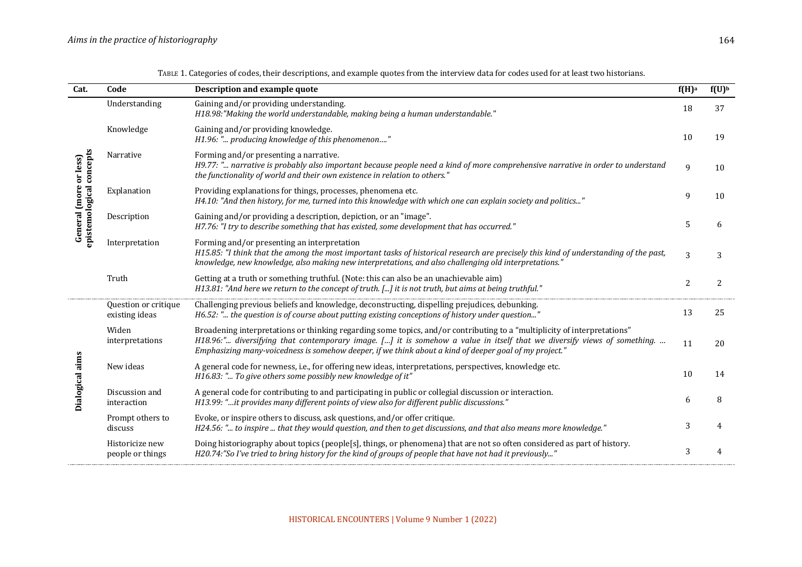| Cat.                                                  | Code                                   | Description and example quote                                                                                                                                                                                                                                                                                                                                 | $f(H)$ <sup>a</sup> | $f(U)^b$ |
|-------------------------------------------------------|----------------------------------------|---------------------------------------------------------------------------------------------------------------------------------------------------------------------------------------------------------------------------------------------------------------------------------------------------------------------------------------------------------------|---------------------|----------|
| epistemological concepts<br>or less)<br>General (more | Understanding                          | Gaining and/or providing understanding.<br>H18.98:"Making the world understandable, making being a human understandable."                                                                                                                                                                                                                                     | 18                  | 37       |
|                                                       | Knowledge                              | Gaining and/or providing knowledge.<br>H1.96: " producing knowledge of this phenomenon"                                                                                                                                                                                                                                                                       | 10                  | 19       |
|                                                       | Narrative                              | Forming and/or presenting a narrative.<br>H9.77: " narrative is probably also important because people need a kind of more comprehensive narrative in order to understand<br>the functionality of world and their own existence in relation to others."                                                                                                       | $\mathbf{q}$        | 10       |
|                                                       | Explanation                            | Providing explanations for things, processes, phenomena etc.<br>H4.10: "And then history, for me, turned into this knowledge with which one can explain society and politics"                                                                                                                                                                                 | 9                   | 10       |
|                                                       | Description                            | Gaining and/or providing a description, depiction, or an "image".<br>H7.76: "I try to describe something that has existed, some development that has occurred."                                                                                                                                                                                               | 5                   | 6        |
|                                                       | Interpretation                         | Forming and/or presenting an interpretation<br>H15.85: "I think that the among the most important tasks of historical research are precisely this kind of understanding of the past,<br>knowledge, new knowledge, also making new interpretations, and also challenging old interpretations."                                                                 | 3                   | 3        |
|                                                       | Truth                                  | Getting at a truth or something truthful. (Note: this can also be an unachievable aim)<br>H13.81: "And here we return to the concept of truth. [] it is not truth, but aims at being truthful."                                                                                                                                                               | $\overline{c}$      | 2        |
| <b>Dialogical aims</b>                                | Question or critique<br>existing ideas | Challenging previous beliefs and knowledge, deconstructing, dispelling prejudices, debunking.<br>H6.52: " the question is of course about putting existing conceptions of history under question"                                                                                                                                                             | 13                  | 25       |
|                                                       | Widen<br>interpretations               | Broadening interpretations or thinking regarding some topics, and/or contributing to a "multiplicity of interpretations"<br>H18.96:" diversifying that contemporary image. [] it is somehow a value in itself that we diversify views of something.<br>Emphasizing many-voicedness is somehow deeper, if we think about a kind of deeper goal of my project." | 11                  | 20       |
|                                                       | New ideas                              | A general code for newness, i.e., for offering new ideas, interpretations, perspectives, knowledge etc.<br>H16.83: " To give others some possibly new knowledge of it"                                                                                                                                                                                        | 10                  | 14       |
|                                                       | Discussion and<br>interaction          | A general code for contributing to and participating in public or collegial discussion or interaction.<br>H13.99: "it provides many different points of view also for different public discussions."                                                                                                                                                          | 6                   | 8        |
|                                                       | Prompt others to<br>discuss            | Evoke, or inspire others to discuss, ask questions, and/or offer critique.<br>H24.56: " to inspire  that they would question, and then to get discussions, and that also means more knowledge."                                                                                                                                                               | 3                   |          |
|                                                       | Historicize new<br>people or things    | Doing historiography about topics (people[s], things, or phenomena) that are not so often considered as part of history.<br>H20.74:"So I've tried to bring history for the kind of groups of people that have not had it previously"                                                                                                                          | 3                   | 4        |

TABLE 1. Categories of codes, their descriptions, and example quotes from the interview data for codes used for at least two historians.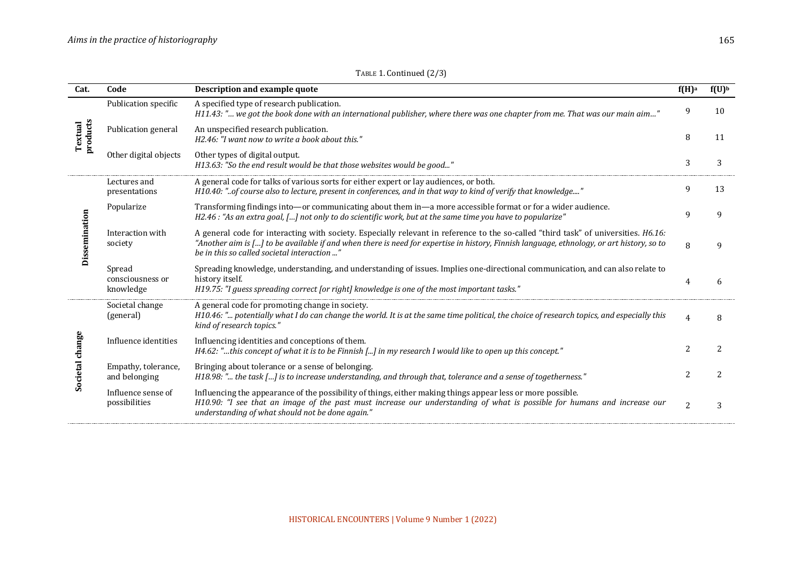| Cat.                 | Code                                    | Description and example quote                                                                                                                                                                                                                                                                                                   | $f(H)$ <sup>a</sup>      | $f(U)^b$ |
|----------------------|-----------------------------------------|---------------------------------------------------------------------------------------------------------------------------------------------------------------------------------------------------------------------------------------------------------------------------------------------------------------------------------|--------------------------|----------|
| products<br>Textual  | Publication specific                    | A specified type of research publication.<br>H11.43: " we got the book done with an international publisher, where there was one chapter from me. That was our main aim'                                                                                                                                                        | 9                        | 10       |
|                      | Publication general                     | An unspecified research publication.<br>H2.46: "I want now to write a book about this."                                                                                                                                                                                                                                         | 8                        | 11       |
|                      | Other digital objects                   | Other types of digital output.<br>H13.63: "So the end result would be that those websites would be good"                                                                                                                                                                                                                        | 3                        | 3        |
| Dissemination        | Lectures and<br>presentations           | A general code for talks of various sorts for either expert or lay audiences, or both.<br>H10.40: "of course also to lecture, present in conferences, and in that way to kind of verify that knowledge"                                                                                                                         | 9                        | 13       |
|                      | Popularize                              | Transforming findings into—or communicating about them in—a more accessible format or for a wider audience.<br>H2.46 : "As an extra goal, [] not only to do scientific work, but at the same time you have to popularize"                                                                                                       | 9                        | 9        |
|                      | Interaction with<br>society             | A general code for interacting with society. Especially relevant in reference to the so-called "third task" of universities. H6.16:<br>"Another aim is [] to be available if and when there is need for expertise in history, Finnish language, ethnology, or art history, so to<br>be in this so called societal interaction " | 8                        |          |
|                      | Spread<br>consciousness or<br>knowledge | Spreading knowledge, understanding, and understanding of issues. Implies one-directional communication, and can also relate to<br>history itself.<br>H19.75: "I guess spreading correct [or right] knowledge is one of the most important tasks."                                                                               | 4                        |          |
| $change$<br>Societal | Societal change<br>(general)            | A general code for promoting change in society.<br>H10.46: " potentially what I do can change the world. It is at the same time political, the choice of research topics, and especially this<br>kind of research topics."                                                                                                      | $\Lambda$                |          |
|                      | Influence identities                    | Influencing identities and conceptions of them.<br>H4.62: "this concept of what it is to be Finnish [] in my research I would like to open up this concept."                                                                                                                                                                    |                          |          |
|                      | Empathy, tolerance,<br>and belonging    | Bringing about tolerance or a sense of belonging.<br>$H18.98:$ " the task [] is to increase understanding, and through that, tolerance and a sense of togetherness."                                                                                                                                                            | $\overline{\mathcal{L}}$ | 2        |
|                      | Influence sense of<br>possibilities     | Influencing the appearance of the possibility of things, either making things appear less or more possible.<br>H10.90: "I see that an image of the past must increase our understanding of what is possible for humans and increase our<br>understanding of what should not be done again."                                     | $\overline{c}$           |          |

TABLE 1. Continued (2/3)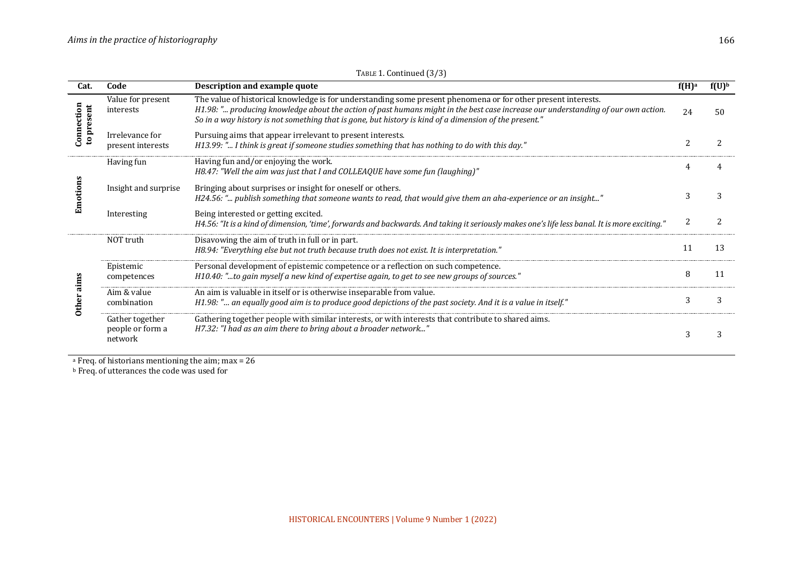| Cat.                                  | Code                                           | Description and example quote                                                                                                                                                                                                                                                                                                                                | t(H) <sup>a</sup> | $f(U)^b$ |
|---------------------------------------|------------------------------------------------|--------------------------------------------------------------------------------------------------------------------------------------------------------------------------------------------------------------------------------------------------------------------------------------------------------------------------------------------------------------|-------------------|----------|
| Connection<br>present<br>$\mathbf{e}$ | Value for present<br>interests                 | The value of historical knowledge is for understanding some present phenomena or for other present interests.<br>H1.98: " producing knowledge about the action of past humans might in the best case increase our understanding of our own action.<br>So in a way history is not something that is gone, but history is kind of a dimension of the present." | 24                | 50       |
|                                       | Irrelevance for<br>present interests           | Pursuing aims that appear irrelevant to present interests.<br>H13.99: " I think is great if someone studies something that has nothing to do with this day."                                                                                                                                                                                                 |                   |          |
|                                       | Having fun                                     | Having fun and/or enjoying the work.<br>H8.47: "Well the aim was just that I and COLLEAQUE have some fun (laughing)"                                                                                                                                                                                                                                         |                   |          |
|                                       | Insight and surprise                           | Bringing about surprises or insight for oneself or others.<br>H24.56: " publish something that someone wants to read, that would give them an aha-experience or an insight"                                                                                                                                                                                  |                   |          |
|                                       | Interesting                                    | Being interested or getting excited.<br>H4.56: "It is a kind of dimension, 'time', forwards and backwards. And taking it seriously makes one's life less banal. It is more exciting."                                                                                                                                                                        |                   |          |
|                                       | NOT truth                                      | Disavowing the aim of truth in full or in part.<br>H8.94: "Everything else but not truth because truth does not exist. It is interpretation."                                                                                                                                                                                                                | 11                | 13       |
|                                       | Epistemic<br>competences                       | Personal development of epistemic competence or a reflection on such competence.<br>H10.40: "to gain myself a new kind of expertise again, to get to see new groups of sources."                                                                                                                                                                             | 8                 | 11       |
|                                       | Aim & value<br>combination                     | An aim is valuable in itself or is otherwise inseparable from value.<br>H1.98: " an equally good aim is to produce good depictions of the past society. And it is a value in itself."                                                                                                                                                                        | 3                 |          |
|                                       | Gather together<br>people or form a<br>network | Gathering together people with similar interests, or with interests that contribute to shared aims.<br>H7.32: "I had as an aim there to bring about a broader network"                                                                                                                                                                                       |                   |          |

TABLE 1. Continued (3/3)

 $a$  Freq. of historians mentioning the aim; max = 26

b Freq. of utterances the code was used for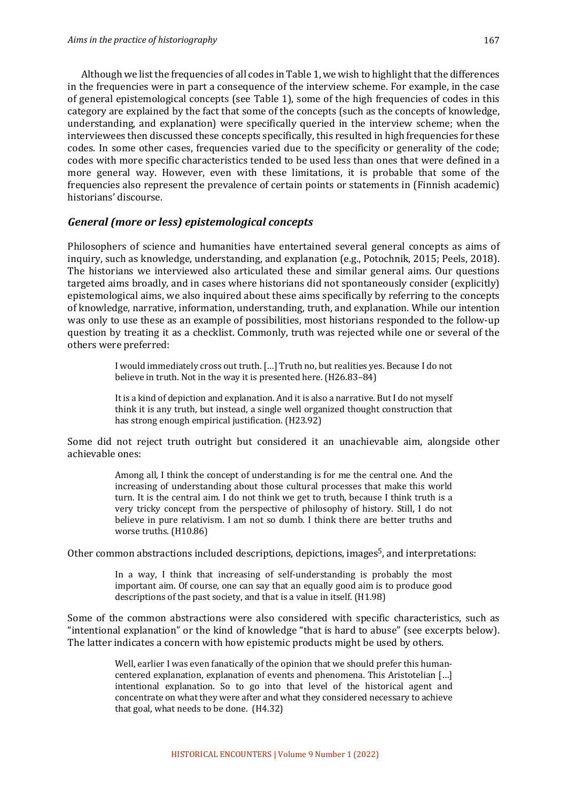Although we list the frequencies of all codes in Table 1, we wish to highlight that the differences in the frequencies were in part a consequence of the interview scheme. For example, in the case of general epistemological concepts (see Table 1), some of the high frequencies of codes in this category are explained by the fact that some of the concepts (such as the concepts of knowledge, understanding, and explanation) were specifically queried in the interview scheme; when the interviewees then discussed these concepts specifically, this resulted in high frequencies for these codes. In some other cases, frequencies varied due to the specificity or generality of the code; codes with more specific characteristics tended to be used less than ones that were defined in a more general way. However, even with these limitations, it is probable that some of the frequencies also represent the prevalence of certain points or statements in (Finnish academic) historians' discourse.

#### General (more or less) epistemological concepts

Philosophers of science and humanities have entertained several general concepts as aims of inquiry, such as knowledge, understanding, and explanation (e.g., Potochnik, 2015; Peels, 2018). The historians we interviewed also articulated these and similar general aims. Our questions targeted aims broadly, and in cases where historians did not spontaneously consider (explicitly) epistemological aims, we also inquired about these aims specifically by referring to the concepts of knowledge, narrative, information, understanding, truth, and explanation. While our intention was only to use these as an example of possibilities, most historians responded to the follow-up question by treating it as a checklist. Commonly, truth was rejected while one or several of the others were preferred:

> I would immediately cross out truth. [...] Truth no, but realities yes. Because I do not believe in truth. Not in the way it is presented here. (H26.83-84)

> It is a kind of depiction and explanation. And it is also a narrative. But I do not myself think it is any truth, but instead, a single well organized thought construction that has strong enough empirical justification. (H23.92)

Some did not reject truth outright but considered it an unachievable aim, alongside other achievable ones:

> Among all, I think the concept of understanding is for me the central one. And the increasing of understanding about those cultural processes that make this world turn. It is the central aim. I do not think we get to truth, because I think truth is a very tricky concept from the perspective of philosophy of history. Still, I do not believe in pure relativism. I am not so dumb. I think there are better truths and worse truths. (H10.86)

Other common abstractions included descriptions, depictions, images<sup>5</sup>, and interpretations:

In a way, I think that increasing of self-understanding is probably the most important aim. Of course, one can say that an equally good aim is to produce good descriptions of the past society, and that is a value in itself. (H1.98)

Some of the common abstractions were also considered with specific characteristics, such as "intentional explanation" or the kind of knowledge "that is hard to abuse" (see excerpts below). The latter indicates a concern with how epistemic products might be used by others.

> Well, earlier I was even fanatically of the opinion that we should prefer this humancentered explanation, explanation of events and phenomena. This Aristotelian [...] intentional explanation. So to go into that level of the historical agent and concentrate on what they were after and what they considered necessary to achieve that goal, what needs to be done.  $(H4.32)$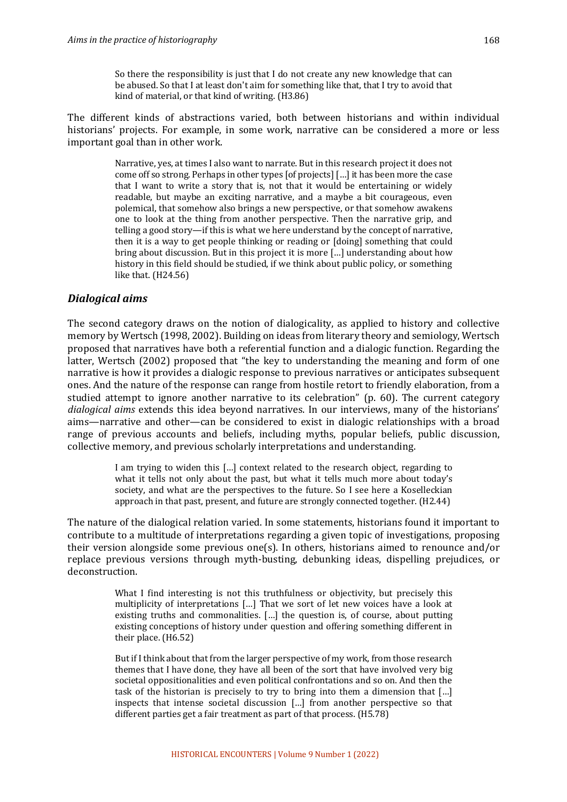The different kinds of abstractions varied, both between historians and within individual historians' projects. For example, in some work, narrative can be considered a more or less important goal than in other work.

> Narrative, ves, at times I also want to narrate. But in this research project it does not come off so strong. Perhaps in other types [of projects] [...] it has been more the case that I want to write a story that is, not that it would be entertaining or widely readable, but maybe an exciting narrative, and a maybe a bit courageous, even polemical, that somehow also brings a new perspective, or that somehow awakens one to look at the thing from another perspective. Then the narrative grip, and telling a good story—if this is what we here understand by the concept of narrative, then it is a way to get people thinking or reading or [doing] something that could bring about discussion. But in this project it is more [...] understanding about how history in this field should be studied, if we think about public policy, or something like that.  $(H24.56)$

## *Dialogical aims*

The second category draws on the notion of dialogicality, as applied to history and collective memory by Wertsch (1998, 2002). Building on ideas from literary theory and semiology, Wertsch proposed that narratives have both a referential function and a dialogic function. Regarding the latter, Wertsch (2002) proposed that "the key to understanding the meaning and form of one narrative is how it provides a dialogic response to previous narratives or anticipates subsequent ones. And the nature of the response can range from hostile retort to friendly elaboration, from a studied attempt to ignore another narrative to its celebration"  $(p. 60)$ . The current category *dialogical aims* extends this idea beyond narratives. In our interviews, many of the historians' aims—narrative and other—can be considered to exist in dialogic relationships with a broad range of previous accounts and beliefs, including myths, popular beliefs, public discussion, collective memory, and previous scholarly interpretations and understanding.

> I am trying to widen this [...] context related to the research object, regarding to what it tells not only about the past, but what it tells much more about today's society, and what are the perspectives to the future. So I see here a Koselleckian approach in that past, present, and future are strongly connected together. (H2.44)

The nature of the dialogical relation varied. In some statements, historians found it important to contribute to a multitude of interpretations regarding a given topic of investigations, proposing their version alongside some previous one(s). In others, historians aimed to renounce and/or replace previous versions through myth-busting, debunking ideas, dispelling prejudices, or deconstruction. 

> What I find interesting is not this truthfulness or objectivity, but precisely this multiplicity of interpretations [...] That we sort of let new voices have a look at existing truths and commonalities.  $[...]$  the question is, of course, about putting existing conceptions of history under question and offering something different in their place. (H6.52)

> But if I think about that from the larger perspective of my work, from those research themes that I have done, they have all been of the sort that have involved very big societal oppositionalities and even political confrontations and so on. And then the task of the historian is precisely to try to bring into them a dimension that  $\lceil ... \rceil$ inspects that intense societal discussion  $[...]$  from another perspective so that different parties get a fair treatment as part of that process.  $(H5.78)$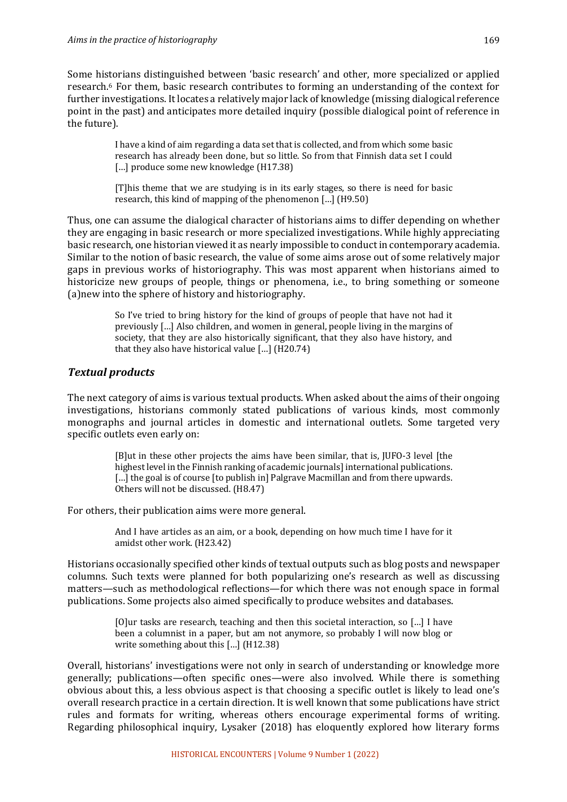Some historians distinguished between 'basic research' and other, more specialized or applied research.<sup>6</sup> For them, basic research contributes to forming an understanding of the context for further investigations. It locates a relatively major lack of knowledge (missing dialogical reference point in the past) and anticipates more detailed inquiry (possible dialogical point of reference in the future).

> I have a kind of aim regarding a data set that is collected, and from which some basic research has already been done, but so little. So from that Finnish data set I could [...] produce some new knowledge (H17.38)

> [T]his theme that we are studying is in its early stages, so there is need for basic research, this kind of mapping of the phenomenon  $\left[ \ldots \right]$  (H9.50)

Thus, one can assume the dialogical character of historians aims to differ depending on whether they are engaging in basic research or more specialized investigations. While highly appreciating basic research, one historian viewed it as nearly impossible to conduct in contemporary academia. Similar to the notion of basic research, the value of some aims arose out of some relatively major gaps in previous works of historiography. This was most apparent when historians aimed to historicize new groups of people, things or phenomena, *i.e.*, to bring something or someone (a)new into the sphere of history and historiography.

> So I've tried to bring history for the kind of groups of people that have not had it previously [...] Also children, and women in general, people living in the margins of society, that they are also historically significant, that they also have history, and that they also have historical value  $\left[ ... \right]$  (H20.74)

## **Textual products**

The next category of aims is various textual products. When asked about the aims of their ongoing investigations, historians commonly stated publications of various kinds, most commonly monographs and journal articles in domestic and international outlets. Some targeted very specific outlets even early on:

> [B]ut in these other projects the aims have been similar, that is, JUFO-3 level [the highest level in the Finnish ranking of academic journals] international publications. [...] the goal is of course [to publish in] Palgrave Macmillan and from there upwards. Others will not be discussed. (H8.47)

For others, their publication aims were more general.

And I have articles as an aim, or a book, depending on how much time I have for it amidst other work. (H23.42)

Historians occasionally specified other kinds of textual outputs such as blog posts and newspaper columns. Such texts were planned for both popularizing one's research as well as discussing matters—such as methodological reflections—for which there was not enough space in formal publications. Some projects also aimed specifically to produce websites and databases.

> [O]ur tasks are research, teaching and then this societal interaction, so  $[\dots]$  I have been a columnist in a paper, but am not anymore, so probably I will now blog or write something about this  $[...]$  (H12.38)

Overall, historians' investigations were not only in search of understanding or knowledge more generally; publications—often specific ones—were also involved. While there is something obvious about this, a less obvious aspect is that choosing a specific outlet is likely to lead one's overall research practice in a certain direction. It is well known that some publications have strict rules and formats for writing, whereas others encourage experimental forms of writing. Regarding philosophical inquiry, Lysaker (2018) has eloquently explored how literary forms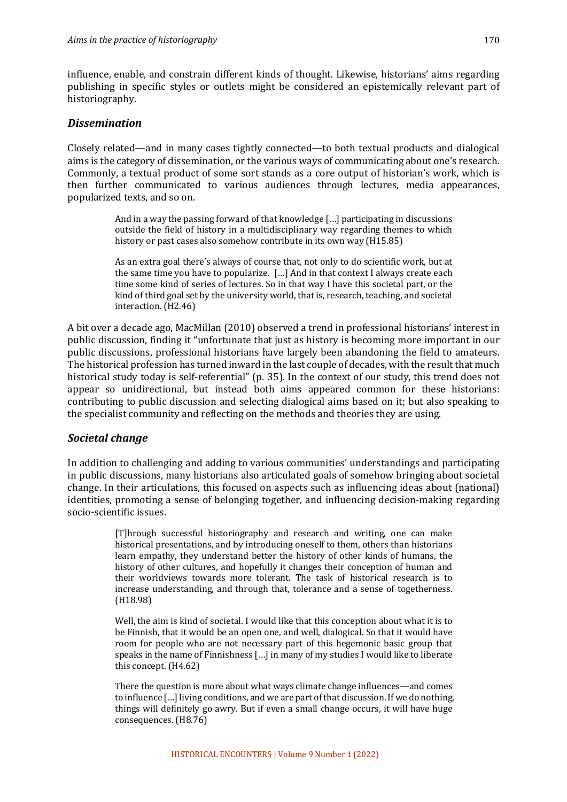influence, enable, and constrain different kinds of thought. Likewise, historians' aims regarding publishing in specific styles or outlets might be considered an epistemically relevant part of historiography.

### *Dissemination*

Closely related—and in many cases tightly connected—to both textual products and dialogical aims is the category of dissemination, or the various ways of communicating about one's research. Commonly, a textual product of some sort stands as a core output of historian's work, which is then further communicated to various audiences through lectures, media appearances, popularized texts, and so on.

> And in a way the passing forward of that knowledge  $\left[\ldots\right]$  participating in discussions outside the field of history in a multidisciplinary way regarding themes to which history or past cases also somehow contribute in its own way (H15.85)

> As an extra goal there's always of course that, not only to do scientific work, but at the same time you have to popularize. [...] And in that context I always create each time some kind of series of lectures. So in that way I have this societal part, or the kind of third goal set by the university world, that is, research, teaching, and societal interaction. (H2.46)

A bit over a decade ago, MacMillan (2010) observed a trend in professional historians' interest in public discussion, finding it "unfortunate that just as history is becoming more important in our public discussions, professional historians have largely been abandoning the field to amateurs. The historical profession has turned inward in the last couple of decades, with the result that much historical study today is self-referential"  $(p. 35)$ . In the context of our study, this trend does not appear so unidirectional, but instead both aims appeared common for these historians: contributing to public discussion and selecting dialogical aims based on it; but also speaking to the specialist community and reflecting on the methods and theories they are using.

#### *Societal change*

In addition to challenging and adding to various communities' understandings and participating in public discussions, many historians also articulated goals of somehow bringing about societal change. In their articulations, this focused on aspects such as influencing ideas about (national) identities, promoting a sense of belonging together, and influencing decision-making regarding socio-scientific issues.

> [T]hrough successful historiography and research and writing, one can make historical presentations, and by introducing oneself to them, others than historians learn empathy, they understand better the history of other kinds of humans, the history of other cultures, and hopefully it changes their conception of human and their worldviews towards more tolerant. The task of historical research is to increase understanding, and through that, tolerance and a sense of togetherness. (H18.98)

> Well, the aim is kind of societal. I would like that this conception about what it is to be Finnish, that it would be an open one, and well, dialogical. So that it would have room for people who are not necessary part of this hegemonic basic group that speaks in the name of Finnishness  $[...]$  in many of my studies I would like to liberate this concept.  $(H4.62)$

> There the question is more about what ways climate change influences—and comes to influence  $\left[\ldots\right]$  living conditions, and we are part of that discussion. If we do nothing, things will definitely go awry. But if even a small change occurs, it will have huge consequences. (H8.76)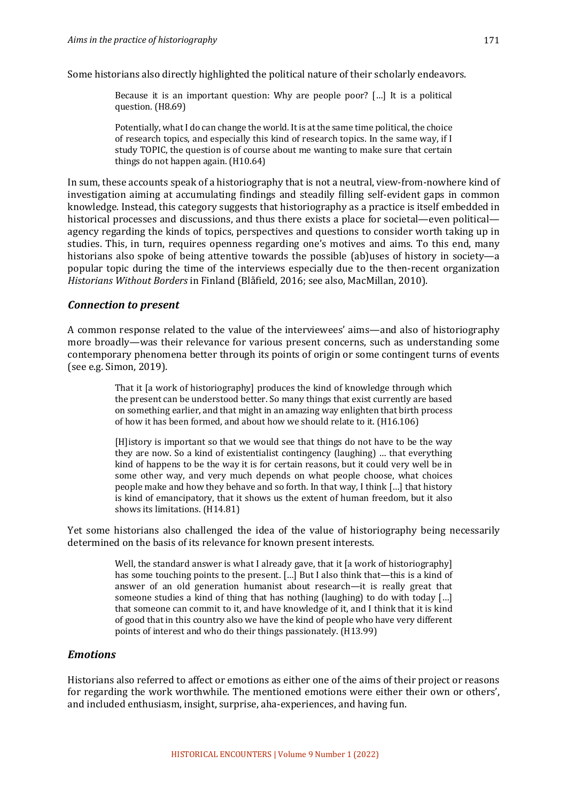Some historians also directly highlighted the political nature of their scholarly endeavors.

Because it is an important question: Why are people poor?  $[\dots]$  It is a political question. (H8.69)

Potentially, what I do can change the world. It is at the same time political, the choice of research topics, and especially this kind of research topics. In the same way, if I study TOPIC, the question is of course about me wanting to make sure that certain things do not happen again.  $(H10.64)$ 

In sum, these accounts speak of a historiography that is not a neutral, view-from-nowhere kind of investigation aiming at accumulating findings and steadily filling self-evident gaps in common knowledge. Instead, this category suggests that historiography as a practice is itself embedded in historical processes and discussions, and thus there exists a place for societal—even political agency regarding the kinds of topics, perspectives and questions to consider worth taking up in studies. This, in turn, requires openness regarding one's motives and aims. To this end, many historians also spoke of being attentive towards the possible (ab)uses of history in society—a popular topic during the time of the interviews especially due to the then-recent organization *Historians Without Borders* in Finland (Blåfield, 2016; see also, MacMillan, 2010).

#### *Connection to present*

A common response related to the value of the interviewees' aims—and also of historiography more broadly—was their relevance for various present concerns, such as understanding some contemporary phenomena better through its points of origin or some contingent turns of events (see e.g. Simon, 2019).

> That it [a work of historiography] produces the kind of knowledge through which the present can be understood better. So many things that exist currently are based on something earlier, and that might in an amazing way enlighten that birth process of how it has been formed, and about how we should relate to it. (H16.106)

> [H]istory is important so that we would see that things do not have to be the way they are now. So a kind of existentialist contingency (laughing) ... that everything kind of happens to be the way it is for certain reasons, but it could very well be in some other way, and very much depends on what people choose, what choices people make and how they behave and so forth. In that way, I think [...] that history is kind of emancipatory, that it shows us the extent of human freedom, but it also shows its limitations. (H14.81)

Yet some historians also challenged the idea of the value of historiography being necessarily determined on the basis of its relevance for known present interests.

> Well, the standard answer is what I already gave, that it  $\lceil a \text{ work of } b \rceil$  istoriography has some touching points to the present.  $\lceil \ldots \rceil$  But I also think that—this is a kind of answer of an old generation humanist about research—it is really great that someone studies a kind of thing that has nothing (laughing) to do with today  $\left[\ldots\right]$ that someone can commit to it, and have knowledge of it, and I think that it is kind of good that in this country also we have the kind of people who have very different points of interest and who do their things passionately. (H13.99)

### *Emotions*

Historians also referred to affect or emotions as either one of the aims of their project or reasons for regarding the work worthwhile. The mentioned emotions were either their own or others', and included enthusiasm, insight, surprise, aha-experiences, and having fun.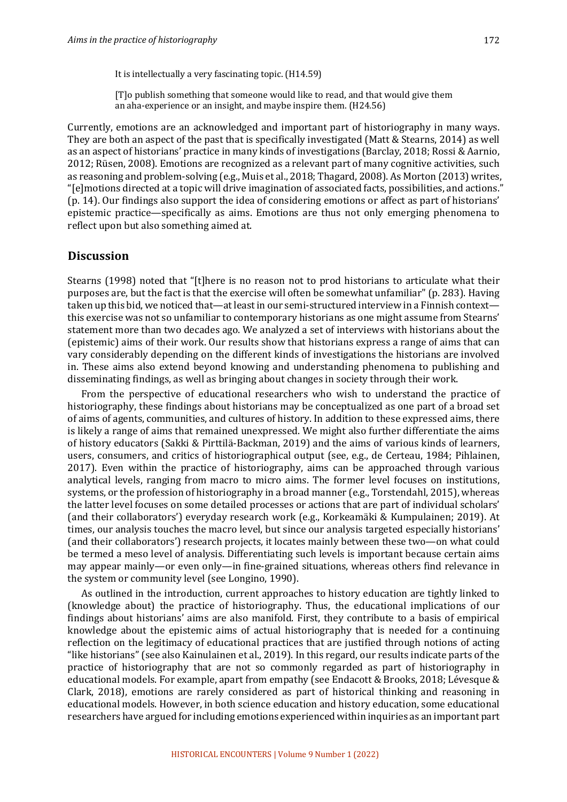[T]o publish something that someone would like to read, and that would give them an aha-experience or an insight, and maybe inspire them. (H24.56)

Currently, emotions are an acknowledged and important part of historiography in many ways. They are both an aspect of the past that is specifically investigated (Matt & Stearns, 2014) as well as an aspect of historians' practice in many kinds of investigations (Barclay, 2018; Rossi & Aarnio, 2012; Rüsen, 2008). Emotions are recognized as a relevant part of many cognitive activities, such as reasoning and problem-solving  $(e.g.,$  Muis et al., 2018; Thagard, 2008). As Morton  $(2013)$  writes, "[e]motions directed at a topic will drive imagination of associated facts, possibilities, and actions." (p. 14). Our findings also support the idea of considering emotions or affect as part of historians' epistemic practice—specifically as aims. Emotions are thus not only emerging phenomena to reflect upon but also something aimed at.

#### **Discussion**

Stearns (1998) noted that "[t]here is no reason not to prod historians to articulate what their purposes are, but the fact is that the exercise will often be somewhat unfamiliar" (p. 283). Having taken up this bid, we noticed that—at least in our semi-structured interview in a Finnish context this exercise was not so unfamiliar to contemporary historians as one might assume from Stearns' statement more than two decades ago. We analyzed a set of interviews with historians about the (epistemic) aims of their work. Our results show that historians express a range of aims that can vary considerably depending on the different kinds of investigations the historians are involved in. These aims also extend beyond knowing and understanding phenomena to publishing and disseminating findings, as well as bringing about changes in society through their work.

From the perspective of educational researchers who wish to understand the practice of historiography, these findings about historians may be conceptualized as one part of a broad set of aims of agents, communities, and cultures of history. In addition to these expressed aims, there is likely a range of aims that remained unexpressed. We might also further differentiate the aims of history educators (Sakki & Pirttilä-Backman, 2019) and the aims of various kinds of learners, users, consumers, and critics of historiographical output (see, e.g., de Certeau, 1984; Pihlainen, 2017). Even within the practice of historiography, aims can be approached through various analytical levels, ranging from macro to micro aims. The former level focuses on institutions, systems, or the profession of historiography in a broad manner (e.g., Torstendahl, 2015), whereas the latter level focuses on some detailed processes or actions that are part of individual scholars' (and their collaborators') everyday research work (e.g., Korkeamäki & Kumpulainen; 2019). At times, our analysis touches the macro level, but since our analysis targeted especially historians' (and their collaborators') research projects, it locates mainly between these two—on what could be termed a meso level of analysis. Differentiating such levels is important because certain aims may appear mainly—or even only—in fine-grained situations, whereas others find relevance in the system or community level (see Longino, 1990).

As outlined in the introduction, current approaches to history education are tightly linked to (knowledge about) the practice of historiography. Thus, the educational implications of our findings about historians' aims are also manifold. First, they contribute to a basis of empirical knowledge about the epistemic aims of actual historiography that is needed for a continuing reflection on the legitimacy of educational practices that are justified through notions of acting "like historians" (see also Kainulainen et al., 2019). In this regard, our results indicate parts of the practice of historiography that are not so commonly regarded as part of historiography in educational models. For example, apart from empathy (see Endacott & Brooks, 2018; Lévesque & Clark, 2018), emotions are rarely considered as part of historical thinking and reasoning in educational models. However, in both science education and history education, some educational researchers have argued for including emotions experienced within inquiries as an important part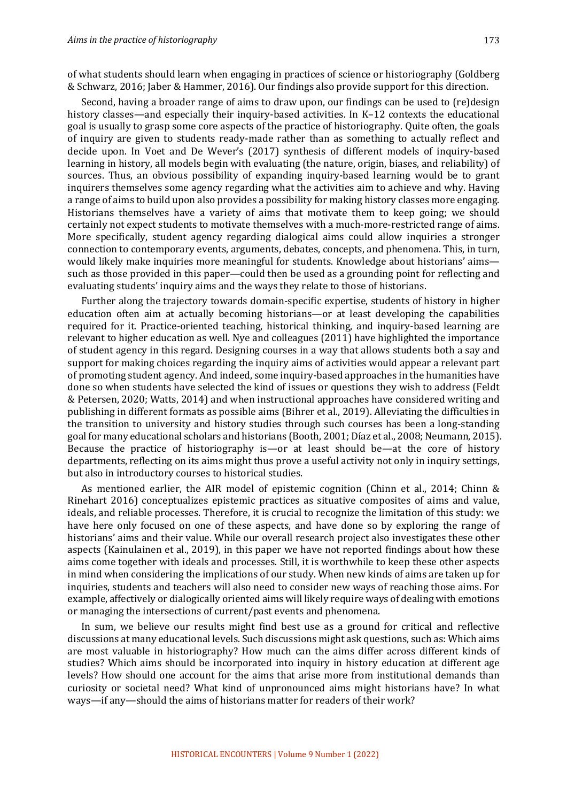of what students should learn when engaging in practices of science or historiography (Goldberg & Schwarz, 2016; Jaber & Hammer, 2016). Our findings also provide support for this direction.

Second, having a broader range of aims to draw upon, our findings can be used to (re)design history classes—and especially their inquiry-based activities. In  $K-12$  contexts the educational goal is usually to grasp some core aspects of the practice of historiography. Quite often, the goals of inquiry are given to students ready-made rather than as something to actually reflect and decide upon. In Voet and De Wever's (2017) synthesis of different models of inquiry-based learning in history, all models begin with evaluating (the nature, origin, biases, and reliability) of sources. Thus, an obvious possibility of expanding inquiry-based learning would be to grant inquirers themselves some agency regarding what the activities aim to achieve and why. Having a range of aims to build upon also provides a possibility for making history classes more engaging. Historians themselves have a variety of aims that motivate them to keep going; we should certainly not expect students to motivate themselves with a much-more-restricted range of aims. More specifically, student agency regarding dialogical aims could allow inquiries a stronger connection to contemporary events, arguments, debates, concepts, and phenomena. This, in turn, would likely make inquiries more meaningful for students. Knowledge about historians' aims such as those provided in this paper—could then be used as a grounding point for reflecting and evaluating students' inquiry aims and the ways they relate to those of historians.

Further along the trajectory towards domain-specific expertise, students of history in higher education often aim at actually becoming historians—or at least developing the capabilities required for it. Practice-oriented teaching, historical thinking, and inquiry-based learning are relevant to higher education as well. Nye and colleagues  $(2011)$  have highlighted the importance of student agency in this regard. Designing courses in a way that allows students both a say and support for making choices regarding the inquiry aims of activities would appear a relevant part of promoting student agency. And indeed, some inquiry-based approaches in the humanities have done so when students have selected the kind of issues or questions they wish to address (Feldt & Petersen, 2020; Watts, 2014) and when instructional approaches have considered writing and publishing in different formats as possible aims (Bihrer et al., 2019). Alleviating the difficulties in the transition to university and history studies through such courses has been a long-standing goal for many educational scholars and historians (Booth, 2001; Díaz et al., 2008; Neumann, 2015). Because the practice of historiography is—or at least should be—at the core of history departments, reflecting on its aims might thus prove a useful activity not only in inquiry settings, but also in introductory courses to historical studies.

As mentioned earlier, the AIR model of epistemic cognition (Chinn et al., 2014; Chinn & Rinehart 2016) conceptualizes epistemic practices as situative composites of aims and value, ideals, and reliable processes. Therefore, it is crucial to recognize the limitation of this study: we have here only focused on one of these aspects, and have done so by exploring the range of historians' aims and their value. While our overall research project also investigates these other aspects (Kainulainen et al., 2019), in this paper we have not reported findings about how these aims come together with ideals and processes. Still, it is worthwhile to keep these other aspects in mind when considering the implications of our study. When new kinds of aims are taken up for inquiries, students and teachers will also need to consider new ways of reaching those aims. For example, affectively or dialogically oriented aims will likely require ways of dealing with emotions or managing the intersections of current/past events and phenomena.

In sum, we believe our results might find best use as a ground for critical and reflective discussions at many educational levels. Such discussions might ask questions, such as: Which aims are most valuable in historiography? How much can the aims differ across different kinds of studies? Which aims should be incorporated into inquiry in history education at different age levels? How should one account for the aims that arise more from institutional demands than curiosity or societal need? What kind of unpronounced aims might historians have? In what ways—if any—should the aims of historians matter for readers of their work?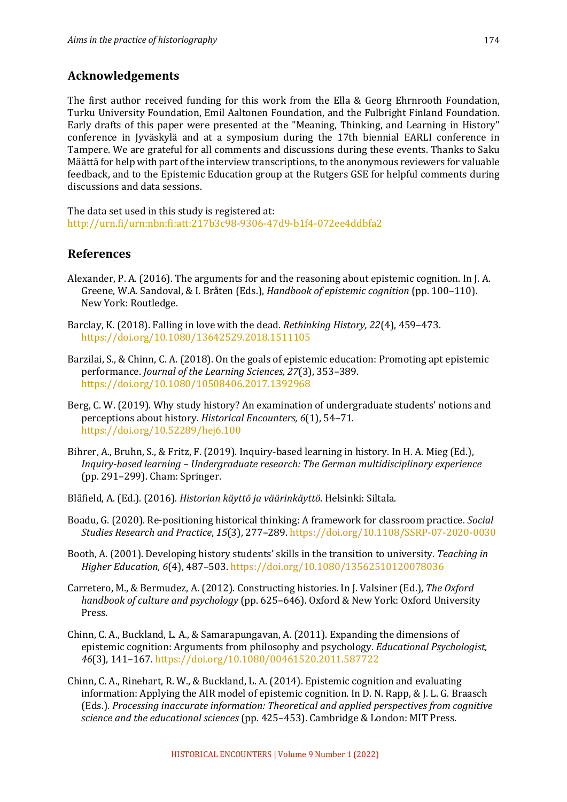# **Acknowledgements**

The first author received funding for this work from the Ella & Georg Ehrnrooth Foundation, Turku University Foundation, Emil Aaltonen Foundation, and the Fulbright Finland Foundation. Early drafts of this paper were presented at the "Meaning, Thinking, and Learning in History" conference in Jyväskylä and at a symposium during the 17th biennial EARLI conference in Tampere. We are grateful for all comments and discussions during these events. Thanks to Saku Määttä for help with part of the interview transcriptions, to the anonymous reviewers for valuable feedback, and to the Epistemic Education group at the Rutgers GSE for helpful comments during discussions and data sessions.

The data set used in this study is registered at: http://urn.fi/urn:nbn:fi:att:217b3c98-9306-47d9-b1f4-072ee4ddbfa2

# **References**

- Alexander, P. A. (2016). The arguments for and the reasoning about epistemic cognition. In J. A. Greene, W.A. Sandoval, & I. Bråten (Eds.), *Handbook of epistemic cognition* (pp. 100–110). New York: Routledge.
- Barclay, K. (2018). Falling in love with the dead. *Rethinking History, 22*(4), 459–473. https://doi.org/10.1080/13642529.2018.1511105
- Barzilai, S., & Chinn, C. A. (2018). On the goals of epistemic education: Promoting apt epistemic performance. *Journal of the Learning Sciences, 27*(3), 353-389. https://doi.org/10.1080/10508406.2017.1392968
- Berg, C. W. (2019). Why study history? An examination of undergraduate students' notions and perceptions about history. *Historical Encounters,* 6(1), 54–71. https://doi.org/10.52289/hej6.100
- Bihrer, A., Bruhn, S., & Fritz, F. (2019). Inquiry-based learning in history. In H. A. Mieg (Ed.), *Inquiry-based learning – Undergraduate research: The German multidisciplinary experience* (pp. 291-299). Cham: Springer.
- Blåfield, A. (Ed.). (2016). *Historian käyttö ja väärinkäyttö*. Helsinki: Siltala.
- Boadu, G. (2020). Re-positioning historical thinking: A framework for classroom practice. *Social Studies Research and Practice*, *15*(3), 277–289. https://doi.org/10.1108/SSRP-07-2020-0030
- Booth, A. (2001). Developing history students' skills in the transition to university. *Teaching in Higher Education, 6*(4), 487–503. https://doi.org/10.1080/13562510120078036
- Carretero, M., & Bermudez, A. (2012). Constructing histories. In J. Valsiner (Ed.), The Oxford *handbook of culture and psychology* (pp. 625–646). Oxford & New York: Oxford University Press.
- Chinn, C. A., Buckland, L. A., & Samarapungavan, A.  $(2011)$ . Expanding the dimensions of epistemic cognition: Arguments from philosophy and psychology. *Educational Psychologist*, *46*(3), 141–167. https://doi.org/10.1080/00461520.2011.587722
- Chinn, C. A., Rinehart, R. W., & Buckland, L. A. (2014). Epistemic cognition and evaluating information: Applying the AIR model of epistemic cognition. In D. N. Rapp, & J. L. G. Braasch (Eds.). *Processing inaccurate information: Theoretical and applied perspectives from cognitive* science and the educational sciences (pp. 425-453). Cambridge & London: MIT Press.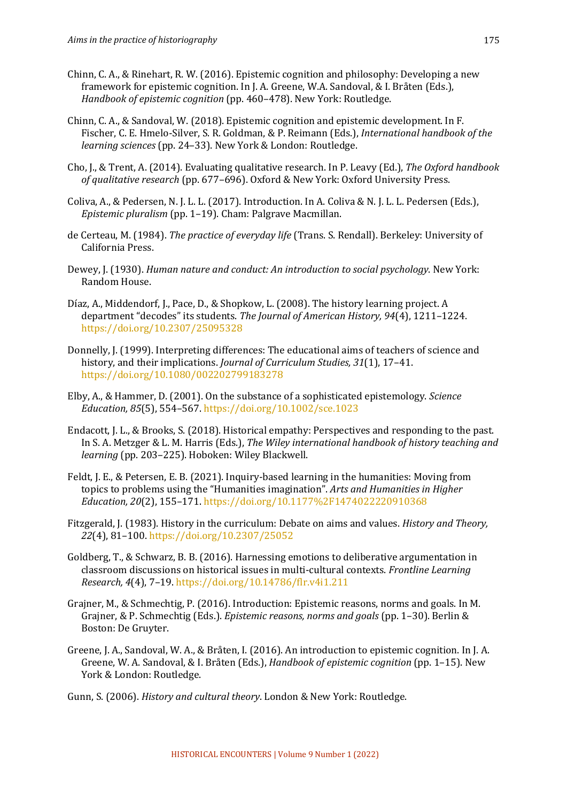- Chinn, C. A., & Rinehart, R. W. (2016). Epistemic cognition and philosophy: Developing a new framework for epistemic cognition. In J. A. Greene, W.A. Sandoval, & I. Bråten (Eds.), *Handbook of epistemic cognition* (pp. 460–478). New York: Routledge.
- Chinn, C. A., & Sandoval, W. (2018). Epistemic cognition and epistemic development. In F. Fischer, C. E. Hmelo-Silver, S. R. Goldman, & P. Reimann (Eds.), *International handbook of the learning sciences* (pp. 24–33). New York & London: Routledge.
- Cho, I., & Trent, A. (2014). Evaluating qualitative research. In P. Leavy (Ed.), The Oxford handbook of qualitative research (pp. 677–696). Oxford & New York: Oxford University Press.
- Coliva, A., & Pedersen, N. J. L. L. (2017). Introduction. In A. Coliva & N. J. L. L. Pedersen (Eds.), *Epistemic pluralism* (pp. 1-19). Cham: Palgrave Macmillan.
- de Certeau, M. (1984). *The practice of everyday life* (Trans. S. Rendall). Berkeley: University of California Press.
- Dewey, J. (1930). *Human nature and conduct: An introduction to social psychology*. New York: Random House.
- Díaz, A., Middendorf, J., Pace, D., & Shopkow, L. (2008). The history learning project. A department "decodes" its students. The *Journal of American History,* 94(4), 1211-1224. https://doi.org/10.2307/25095328
- Donnelly, J. (1999). Interpreting differences: The educational aims of teachers of science and history, and their implications. *Journal of Curriculum Studies, 31*(1), 17-41. https://doi.org/10.1080/002202799183278
- Elby, A., & Hammer, D. (2001). On the substance of a sophisticated epistemology. *Science Education, 85*(5), 554–567. https://doi.org/10.1002/sce.1023
- Endacott, J. L., & Brooks, S. (2018). Historical empathy: Perspectives and responding to the past. In S. A. Metzger & L. M. Harris (Eds.), *The Wiley international handbook of history teaching and learning* (pp. 203-225). Hoboken: Wiley Blackwell.
- Feldt, J. E., & Petersen, E. B. (2021). Inquiry-based learning in the humanities: Moving from topics to problems using the "Humanities imagination". *Arts and Humanities in Higher Education, 20*(2), 155–171. https://doi.org/10.1177%2F1474022220910368
- Fitzgerald, J. (1983). History in the curriculum: Debate on aims and values. *History and Theory, 22*(4), 81–100. https://doi.org/10.2307/25052
- Goldberg, T., & Schwarz, B. B. (2016). Harnessing emotions to deliberative argumentation in classroom discussions on historical issues in multi-cultural contexts. *Frontline Learning Research, 4*(4), 7–19. https://doi.org/10.14786/flr.v4i1.211
- Grajner, M., & Schmechtig, P. (2016). Introduction: Epistemic reasons, norms and goals. In M. Grajner, & P. Schmechtig (Eds.). *Epistemic reasons, norms and goals* (pp. 1–30). Berlin & Boston: De Gruyter.
- Greene, J. A., Sandoval, W. A., & Bråten, I. (2016). An introduction to epistemic cognition. In J. A. Greene, W. A. Sandoval, & I. Bråten (Eds.), *Handbook of epistemic cognition* (pp. 1–15). New York & London: Routledge.
- Gunn, S. (2006). *History and cultural theory*. London & New York: Routledge.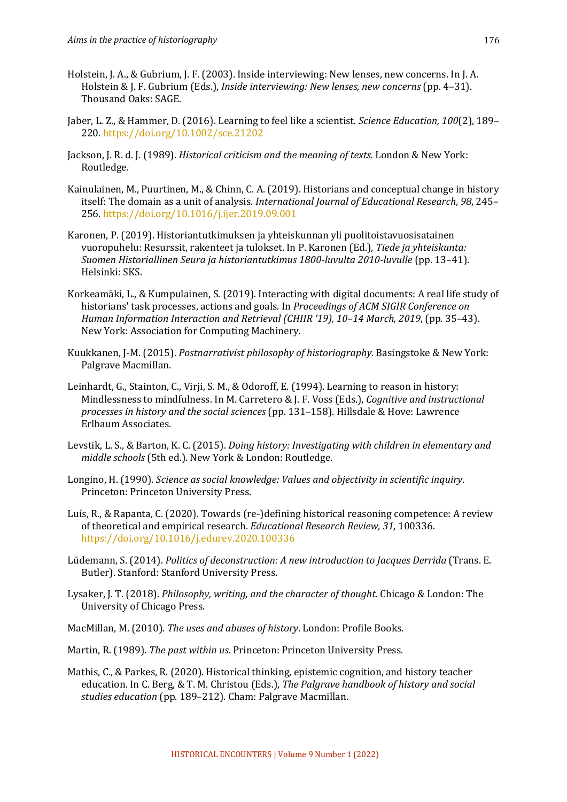- Holstein, J. A., & Gubrium, J. F. (2003). Inside interviewing: New lenses, new concerns. In J. A. Holstein & J. F. Gubrium (Eds.), *Inside interviewing: New lenses, new concerns* (pp. 4–31). Thousand Oaks: SAGE.
- Jaber, L. Z., & Hammer, D. (2016). Learning to feel like a scientist. *Science Education, 100*(2), 189– 220. https://doi.org/10.1002/sce.21202
- Jackson, J. R. d. J. (1989). *Historical criticism and the meaning of texts.* London & New York: Routledge.
- Kainulainen, M., Puurtinen, M., & Chinn, C. A. (2019). Historians and conceptual change in history itself: The domain as a unit of analysis. *International Journal of Educational Research*, 98, 245-256. https://doi.org/10.1016/j.ijer.2019.09.001
- Karonen, P. (2019). Historiantutkimuksen ja yhteiskunnan yli puolitoistavuosisatainen vuoropuhelu: Resurssit, rakenteet ja tulokset. In P. Karonen (Ed.), *Tiede ja yhteiskunta:* Suomen Historiallinen Seura ja historiantutkimus 1800-luvulta 2010-luvulle (pp. 13-41). Helsinki: SKS.
- Korkeamäki, L., & Kumpulainen, S. (2019). Interacting with digital documents: A real life study of historians' task processes, actions and goals. In *Proceedings of ACM SIGIR Conference on* Human Information Interaction and Retrieval (CHIIR '19), 10-14 March, 2019, (pp. 35-43). New York: Association for Computing Machinery.
- Kuukkanen, J-M. (2015). *Postnarrativist philosophy of historiography*. Basingstoke & New York: Palgrave Macmillan.
- Leinhardt, G., Stainton, C., Virji, S. M., & Odoroff, E. (1994). Learning to reason in history: Mindlessness to mindfulness. In M. Carretero & J. F. Voss (Eds.), *Cognitive and instructional* processes in history and the social sciences (pp. 131-158). Hillsdale & Hove: Lawrence Erlbaum Associates.
- Levstik, L. S., & Barton, K. C. (2015). *Doing history: Investigating with children in elementary and middle schools* (5th ed.). New York & London: Routledge.
- Longino, H. (1990). *Science as social knowledge: Values and objectivity in scientific inquiry.* Princeton: Princeton University Press.
- Luís, R., & Rapanta, C. (2020). Towards (re-)defining historical reasoning competence: A review of theoretical and empirical research. *Educational Research Review*, 31, 100336. https://doi.org/10.1016/j.edurev.2020.100336
- Lüdemann, S. (2014). *Politics of deconstruction: A new introduction to Jacques Derrida* (Trans. E. Butler). Stanford: Stanford University Press.
- Lysaker, J. T. (2018). *Philosophy, writing, and the character of thought*. Chicago & London: The University of Chicago Press.
- MacMillan, M. (2010). *The uses and abuses of history*. London: Profile Books.
- Martin, R. (1989). *The past within us*. Princeton: Princeton University Press.
- Mathis, C., & Parkes, R. (2020). Historical thinking, epistemic cognition, and history teacher education. In C. Berg, & T. M. Christou (Eds.), *The Palgrave handbook of history and social* studies education (pp. 189-212). Cham: Palgrave Macmillan.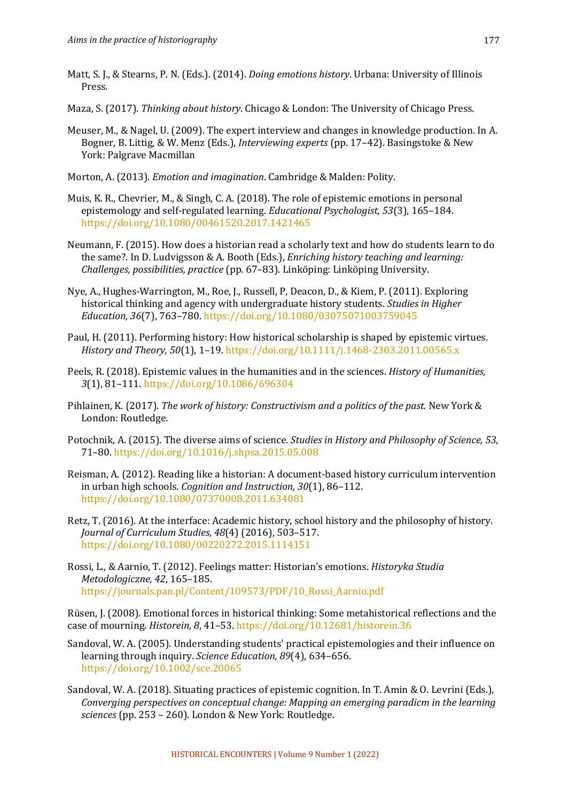- Matt, S. J., & Stearns, P. N. (Eds.). (2014). *Doing emotions history*. Urbana: University of Illinois Press.
- Maza, S. (2017). *Thinking about history*. Chicago & London: The University of Chicago Press.
- Meuser, M., & Nagel, U. (2009). The expert interview and changes in knowledge production. In A. Bogner, B. Littig, & W. Menz (Eds.), *Interviewing experts* (pp. 17–42). Basingstoke & New York: Palgrave Macmillan
- Morton, A. (2013). *Emotion and imagination*. Cambridge & Malden: Polity.
- Muis, K. R., Chevrier, M., & Singh, C. A. (2018). The role of epistemic emotions in personal epistemology and self-regulated learning. *Educational Psychologist*, 53(3), 165–184. https://doi.org/10.1080/00461520.2017.1421465
- Neumann, F. (2015). How does a historian read a scholarly text and how do students learn to do the same?. In D. Ludvigsson & A. Booth (Eds.), *Enriching history teaching and learning: Challenges, possibilities, practice* (pp. 67–83). Linköping: Linköping University.
- Nye, A., Hughes-Warrington, M., Roe, J., Russell, P. Deacon, D., & Kiem, P. (2011). Exploring historical thinking and agency with undergraduate history students. *Studies in Higher Education, 36*(7), 763–780. https://doi.org/10.1080/03075071003759045
- Paul, H. (2011). Performing history: How historical scholarship is shaped by epistemic virtues. *History and Theory, 50*(1), 1-19. https://doi.org/10.1111/j.1468-2303.2011.00565.x
- Peels, R. (2018). Epistemic values in the humanities and in the sciences. *History of Humanities*, *3*(1), 81–111. https://doi.org/10.1086/696304
- Pihlainen, K. (2017). *The work of history: Constructivism and a politics of the past*. New York & London: Routledge.
- Potochnik, A. (2015). The diverse aims of science. *Studies in History and Philosophy of Science, 53*, 71–80. https://doi.org/10.1016/j.shpsa.2015.05.008
- Reisman, A. (2012). Reading like a historian: A document-based history curriculum intervention in urban high schools. *Cognition and Instruction*, 30(1), 86–112. https://doi.org/10.1080/07370008.2011.634081
- Retz, T.  $(2016)$ . At the interface: Academic history, school history and the philosophy of history. *Journal of Curriculum Studies, 48*(4) (2016), 503–517. https://doi.org/10.1080/00220272.2015.1114151
- Rossi, L., & Aarnio, T. (2012). Feelings matter: Historian's emotions. *Historyka Studia Metodologiczne, 42*, 165–185. https://journals.pan.pl/Content/109573/PDF/10\_Rossi\_Aarnio.pdf

Rüsen, J. (2008). Emotional forces in historical thinking: Some metahistorical reflections and the case of mourning. *Historein, 8,* 41–53. https://doi.org/10.12681/historein.36

- Sandoval, W. A. (2005). Understanding students' practical epistemologies and their influence on learning through inquiry. *Science Education*, 89(4), 634-656. https://doi.org/10.1002/sce.20065
- Sandoval, W. A. (2018). Situating practices of epistemic cognition. In T. Amin & O. Levrini (Eds.), *Converging perspectives on conceptual change: Mapping an emerging paradicm in the learning sciences* (pp. 253 – 260). London & New York: Routledge.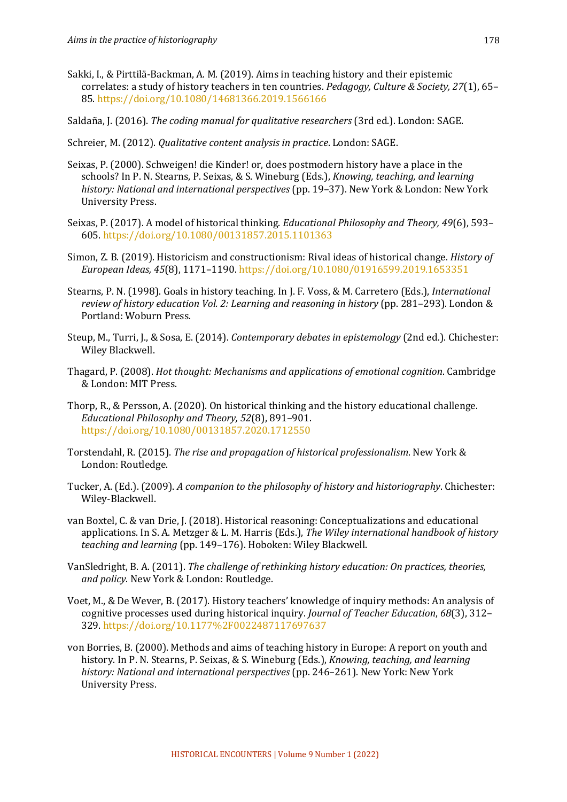- Sakki, I., & Pirttilä-Backman, A. M. (2019). Aims in teaching history and their epistemic correlates: a study of history teachers in ten countries. *Pedagogy, Culture & Society, 27*(1), 65– 85. https://doi.org/10.1080/14681366.2019.1566166
- Saldaña, J. (2016). *The coding manual for qualitative researchers* (3rd ed.). London: SAGE.
- Schreier, M. (2012). *Qualitative content analysis in practice*. London: SAGE.
- Seixas, P. (2000). Schweigen! die Kinder! or, does postmodern history have a place in the schools? In P. N. Stearns, P. Seixas, & S. Wineburg (Eds.), *Knowing, teaching, and learning* history: National and international perspectives (pp. 19–37). New York & London: New York University Press.
- Seixas, P. (2017). A model of historical thinking. *Educational Philosophy and Theory, 49*(6), 593– 605. https://doi.org/10.1080/00131857.2015.1101363
- Simon, Z. B. (2019). Historicism and constructionism: Rival ideas of historical change. *History of European Ideas, 45*(8), 1171–1190. https://doi.org/10.1080/01916599.2019.1653351
- Stearns, P. N. (1998). Goals in history teaching. In J. F. Voss, & M. Carretero (Eds.), *International review of history education Vol. 2: Learning and reasoning in history* (pp. 281–293). London & Portland: Woburn Press.
- Steup, M., Turri, J., & Sosa, E. (2014). *Contemporary debates in epistemology* (2nd ed.). Chichester: Wiley Blackwell.
- Thagard, P. (2008). *Hot thought: Mechanisms and applications of emotional cognition*. Cambridge & London: MIT Press.
- Thorp, R., & Persson, A. (2020). On historical thinking and the history educational challenge. *Educational Philosophy and Theory, 52*(8), 891–901. https://doi.org/10.1080/00131857.2020.1712550
- Torstendahl, R. (2015). *The rise and propagation of historical professionalism*. New York & London: Routledge.
- Tucker, A. (Ed.). (2009). *A companion to the philosophy of history and historiography*. Chichester: Wiley-Blackwell.
- van Boxtel, C. & van Drie, J. (2018). Historical reasoning: Conceptualizations and educational applications. In S. A. Metzger & L. M. Harris (Eds.), *The Wiley international handbook of history* teaching and learning (pp. 149-176). Hoboken: Wiley Blackwell.
- VanSledright, B. A. (2011). *The challenge of rethinking history education: On practices, theories,* and policy. New York & London: Routledge.
- Voet, M., & De Wever, B. (2017). History teachers' knowledge of inquiry methods: An analysis of cognitive processes used during historical inquiry. *Journal of Teacher Education*, 68(3), 312– 329. https://doi.org/10.1177%2F0022487117697637
- von Borries, B. (2000). Methods and aims of teaching history in Europe: A report on youth and history. In P. N. Stearns, P. Seixas, & S. Wineburg (Eds.), *Knowing, teaching, and learning* history: National and international perspectives (pp. 246–261). New York: New York University Press.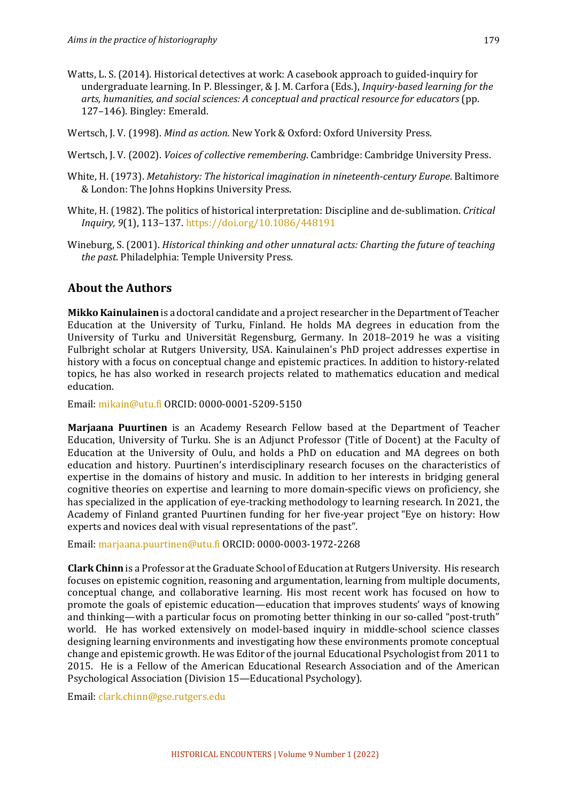- Watts, L. S. (2014). Historical detectives at work: A casebook approach to guided-inquiry for undergraduate learning. In P. Blessinger, & J. M. Carfora (Eds.), *Inquiry-based learning for the* arts, humanities, and social sciences: A conceptual and practical resource for educators (pp. 127-146). Bingley: Emerald.
- Wertsch, J. V. (1998). *Mind as action.* New York & Oxford: Oxford University Press.
- Wertsch, J. V. (2002). *Voices of collective remembering*. Cambridge: Cambridge University Press.
- White, H. (1973). *Metahistory: The historical imagination in nineteenth-century Europe*. Baltimore & London: The Johns Hopkins University Press.
- White, H. (1982). The politics of historical interpretation: Discipline and de-sublimation. *Critical Inquiry, 9*(1), 113–137. https://doi.org/10.1086/448191
- Wineburg, S. (2001). *Historical thinking and other unnatural acts: Charting the future of teaching the past*. Philadelphia: Temple University Press.

# **About the Authors**

**Mikko Kainulainen** is a doctoral candidate and a project researcher in the Department of Teacher Education at the University of Turku, Finland. He holds MA degrees in education from the University of Turku and Universität Regensburg, Germany. In 2018–2019 he was a visiting Fulbright scholar at Rutgers University, USA, Kainulainen's PhD project addresses expertise in history with a focus on conceptual change and epistemic practices. In addition to history-related topics, he has also worked in research projects related to mathematics education and medical education.

Email: mikain@utu.fi ORCID: 0000-0001-5209-5150

**Marjaana Puurtinen** is an Academy Research Fellow based at the Department of Teacher Education, University of Turku. She is an Adjunct Professor (Title of Docent) at the Faculty of Education at the University of Oulu, and holds a PhD on education and MA degrees on both education and history. Puurtinen's interdisciplinary research focuses on the characteristics of expertise in the domains of history and music. In addition to her interests in bridging general cognitive theories on expertise and learning to more domain-specific views on proficiency, she has specialized in the application of eye-tracking methodology to learning research. In 2021, the Academy of Finland granted Puurtinen funding for her five-year project "Eye on history: How experts and novices deal with visual representations of the past".

Email: marjaana.puurtinen@utu.fi ORCID: 0000-0003-1972-2268

**Clark Chinn** is a Professor at the Graduate School of Education at Rutgers University. His research focuses on epistemic cognition, reasoning and argumentation, learning from multiple documents, conceptual change, and collaborative learning. His most recent work has focused on how to promote the goals of epistemic education—education that improves students' ways of knowing and thinking—with a particular focus on promoting better thinking in our so-called "post-truth" world. He has worked extensively on model-based inquiry in middle-school science classes designing learning environments and investigating how these environments promote conceptual change and epistemic growth. He was Editor of the journal Educational Psychologist from 2011 to 2015. He is a Fellow of the American Educational Research Association and of the American Psychological Association (Division 15—Educational Psychology).

Email: clark.chinn@gse.rutgers.edu